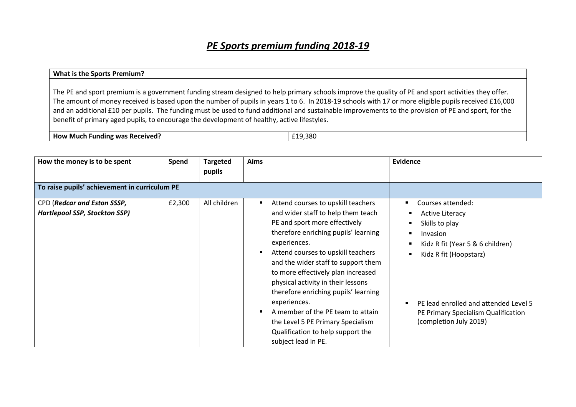## *PE Sports premium funding 2018-19*

## **What is the Sports Premium?**

The PE and sport premium is a government funding stream designed to help primary schools improve the quality of PE and sport activities they offer. The amount of money received is based upon the number of pupils in years 1 to 6. In 2018-19 schools with 17 or more eligible pupils received £16,000 and an additional £10 per pupils. The funding must be used to fund additional and sustainable improvements to the provision of PE and sport, for the benefit of primary aged pupils, to encourage the development of healthy, active lifestyles.

**How Much Funding was Received? E19,380** 

| How the money is to be spent                                        | Spend  | <b>Targeted</b><br>pupils | <b>Aims</b>                                                                                                                                                                                                                                                                                                                                                                                                                                                                                                                                     | Evidence                                                                                                                                                                                                                                                            |
|---------------------------------------------------------------------|--------|---------------------------|-------------------------------------------------------------------------------------------------------------------------------------------------------------------------------------------------------------------------------------------------------------------------------------------------------------------------------------------------------------------------------------------------------------------------------------------------------------------------------------------------------------------------------------------------|---------------------------------------------------------------------------------------------------------------------------------------------------------------------------------------------------------------------------------------------------------------------|
| To raise pupils' achievement in curriculum PE                       |        |                           |                                                                                                                                                                                                                                                                                                                                                                                                                                                                                                                                                 |                                                                                                                                                                                                                                                                     |
| CPD (Redcar and Eston SSSP,<br><b>Hartlepool SSP, Stockton SSP)</b> | £2,300 | All children              | Attend courses to upskill teachers<br>٠<br>and wider staff to help them teach<br>PE and sport more effectively<br>therefore enriching pupils' learning<br>experiences.<br>Attend courses to upskill teachers<br>$\blacksquare$<br>and the wider staff to support them<br>to more effectively plan increased<br>physical activity in their lessons<br>therefore enriching pupils' learning<br>experiences.<br>A member of the PE team to attain<br>the Level 5 PE Primary Specialism<br>Qualification to help support the<br>subject lead in PE. | Courses attended:<br><b>Active Literacy</b><br>Skills to play<br>Invasion<br>$\blacksquare$<br>Kidz R fit (Year 5 & 6 children)<br>Kidz R fit (Hoopstarz)<br>PE lead enrolled and attended Level 5<br>PE Primary Specialism Qualification<br>(completion July 2019) |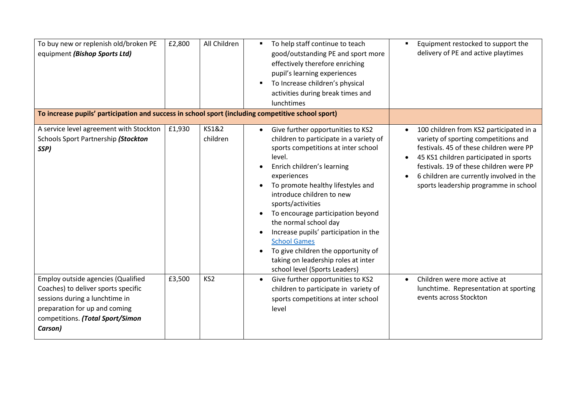| To buy new or replenish old/broken PE<br>equipment (Bishop Sports Ltd)<br>To increase pupils' participation and success in school sport (including competitive school sport)                       | £2,800 | All Children      | To help staff continue to teach<br>$\blacksquare$<br>good/outstanding PE and sport more<br>effectively therefore enriching<br>pupil's learning experiences<br>To Increase children's physical<br>$\blacksquare$<br>activities during break times and<br>lunchtimes                                                                                                                                                                                                                                                                       | Equipment restocked to support the<br>delivery of PE and active playtimes                                                                                                                                                                                                                                         |
|----------------------------------------------------------------------------------------------------------------------------------------------------------------------------------------------------|--------|-------------------|------------------------------------------------------------------------------------------------------------------------------------------------------------------------------------------------------------------------------------------------------------------------------------------------------------------------------------------------------------------------------------------------------------------------------------------------------------------------------------------------------------------------------------------|-------------------------------------------------------------------------------------------------------------------------------------------------------------------------------------------------------------------------------------------------------------------------------------------------------------------|
| A service level agreement with Stockton<br>Schools Sport Partnership (Stockton<br>SSP)                                                                                                             | £1,930 | KS1&2<br>children | Give further opportunities to KS2<br>$\bullet$<br>children to participate in a variety of<br>sports competitions at inter school<br>level.<br>Enrich children's learning<br>experiences<br>To promote healthy lifestyles and<br>introduce children to new<br>sports/activities<br>To encourage participation beyond<br>$\bullet$<br>the normal school day<br>Increase pupils' participation in the<br><b>School Games</b><br>To give children the opportunity of<br>taking on leadership roles at inter<br>school level (Sports Leaders) | 100 children from KS2 participated in a<br>variety of sporting competitions and<br>festivals. 45 of these children were PP<br>45 KS1 children participated in sports<br>$\bullet$<br>festivals. 19 of these children were PP<br>6 children are currently involved in the<br>sports leadership programme in school |
| <b>Employ outside agencies (Qualified</b><br>Coaches) to deliver sports specific<br>sessions during a lunchtime in<br>preparation for up and coming<br>competitions. (Total Sport/Simon<br>Carson) | £3,500 | KS <sub>2</sub>   | Give further opportunities to KS2<br>$\bullet$<br>children to participate in variety of<br>sports competitions at inter school<br>level                                                                                                                                                                                                                                                                                                                                                                                                  | Children were more active at<br>$\bullet$<br>lunchtime. Representation at sporting<br>events across Stockton                                                                                                                                                                                                      |